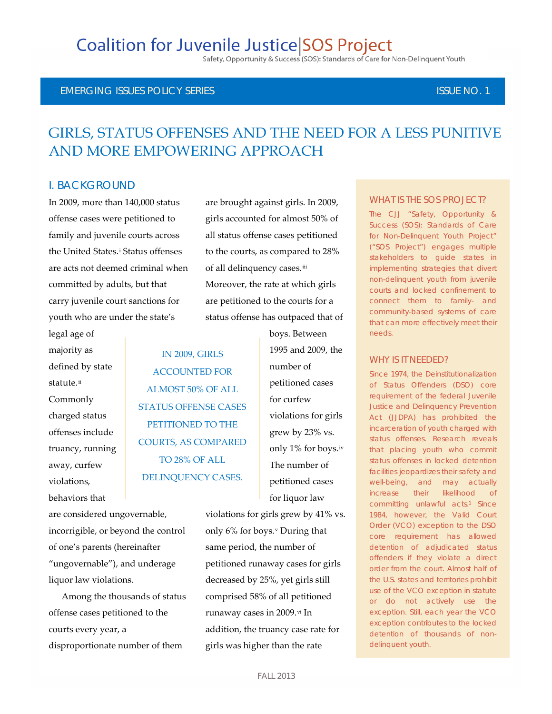# **Coalition for Juvenile Justice SOS Project**

Safety, Opportunity & Success (SOS): Standards of Care for Non-Delinquent Youth

#### EMERGING ISSUES POLICY SERIES ISSUE NO. 1 ISSUE NO. 1

# GIRLS, STATUS OFFENSES AND THE NEED FOR A LESS PUNITIVE AND MORE EMPOWERING APPROACH

### I. BACKGROUND

In 2009, more than 140,000 status offense cases were petitioned to family and juvenile courts across the Un[i](#page-7-0)ted States.<sup>i</sup> Status offenses are acts not deemed criminal when committed by adults, but that carry juvenile court sanctions for youth who are under the state's

legal age of majority as defined by state statute.<sup>[ii](#page-7-1)</sup> Commonly charged status offenses include truancy, running away, curfew violations, behaviors that

are brought against girls. In 2009, girls accounted for almost 50% of all status offense cases petitioned to the courts, as compared to 28% of all delinquency cases.[iii](#page-7-2) Moreover, the rate at which girls are petitioned to the courts for a status offense has outpaced that of

IN 2009, GIRLS ACCOUNTED FOR ALMOST 50% OF ALL STATUS OFFENSE CASES PETITIONED TO THE COURTS, AS COMPARED TO 28% OF ALL DELINQUENCY CASES.

1995 and 2009, the number of petitioned cases for curfew violations for girls grew by 23% vs. only 1% for boys.[iv](#page-7-3) The number of petitioned cases for liquor law

boys. Between

are considered ungovernable, incorrigible, or beyond the control of one's parents (hereinafter "ungovernable"), and underage liquor law violations.

Among the thousands of status offense cases petitioned to the courts every year, a disproportionate number of them

violations for girls grew by 41% vs. only 6% for boys.[v](#page-7-4) During that same period, the number of petitioned runaway cases for girls decreased by 25%, yet girls still comprised 58% of all petitioned runaway cases in 2009.[vi](#page-7-5) In addition, the truancy case rate for girls was higher than the rate

#### WHAT IS THE SOS PROJECT?

The CJJ "Safety, Opportunity & Success (SOS): Standards of Care for Non-Delinquent Youth Project" ("SOS Project") engages multiple stakeholders to guide states in implementing strategies that divert non-delinquent youth from juvenile courts and locked confinement to connect them to family- and community-based systems of care that can more effectively meet their needs.

#### WHY IS IT NFFDFD?

Since 1974, the Deinstitutionalization of Status Offenders (DSO) core requirement of the federal Juvenile Justice and Delinquency Prevention Act (JJDPA) has prohibited the incarceration of youth charged with status offenses. Research reveals that placing youth who commit status offenses in locked detention facilities jeopardizes their safety and well-being, and may actually increase their likelihood of committing unlawful acts.<sup>1</sup> Since 1984, however, the Valid Court Order (VCO) exception to the DSO core requirement has allowed detention of adjudicated status offenders if they violate a direct order from the court. Almost half of the U.S. states and territories prohibit use of the VCO exception in statute or do not actively use the exception. Still, each year the VCO exception contributes to the locked detention of thousands of nondelinquent youth.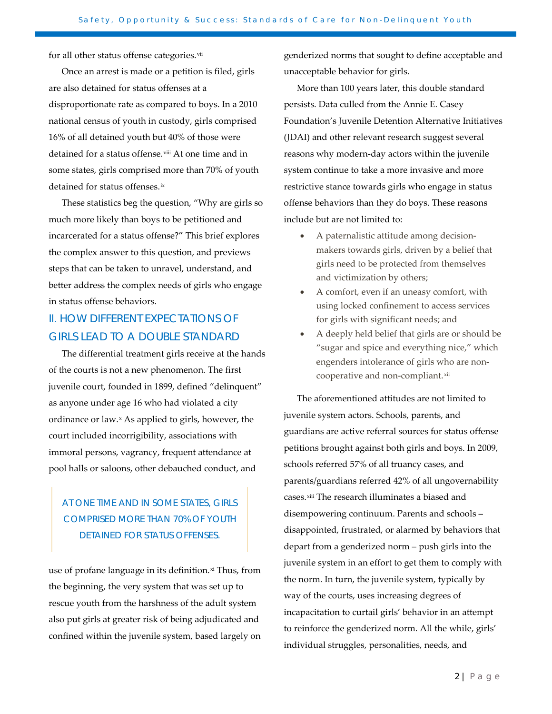for all other status offense categories.<sup>[vii](#page-7-6)</sup>

Once an arrest is made or a petition is filed, girls are also detained for status offenses at a disproportionate rate as compared to boys. In a 2010 national census of youth in custody, girls comprised 16% of all detained youth but 40% of those were detained for a status offense.<sup>[viii](#page-7-7)</sup> At one time and in some states, girls comprised more than 70% of youth detained for status offenses.<sup>[ix](#page-7-8)</sup>

These statistics beg the question, "Why are girls so much more likely than boys to be petitioned and incarcerated for a status offense?" This brief explores the complex answer to this question, and previews steps that can be taken to unravel, understand, and better address the complex needs of girls who engage in status offense behaviors.

### II. HOW DIFFERENT EXPECTATIONS OF GIRLS LEAD TO A DOUBLE STANDARD

The differential treatment girls receive at the hands of the courts is not a new phenomenon. The first juvenile court, founded in 1899, defined "delinquent" as anyone under age 16 who had violated a city ordinance or law.<sup>[x](#page-8-0)</sup> As applied to girls, however, the court included incorrigibility, associations with immoral persons, vagrancy, frequent attendance at pool halls or saloons, other debauched conduct, and

### AT ONE TIME AND IN SOME STATES, GIRLS COMPRISED MORE THAN 70% OF YOUTH DETAINED FOR STATUS OFFENSES.

use of profane language in its definition.<sup>[xi](#page-8-1)</sup> Thus, from the beginning, the very system that was set up to rescue youth from the harshness of the adult system also put girls at greater risk of being adjudicated and confined within the juvenile system, based largely on genderized norms that sought to define acceptable and unacceptable behavior for girls.

More than 100 years later, this double standard persists. Data culled from the Annie E. Casey Foundation's Juvenile Detention Alternative Initiatives (JDAI) and other relevant research suggest several reasons why modern-day actors within the juvenile system continue to take a more invasive and more restrictive stance towards girls who engage in status offense behaviors than they do boys. These reasons include but are not limited to:

- A paternalistic attitude among decisionmakers towards girls, driven by a belief that girls need to be protected from themselves and victimization by others;
- A comfort, even if an uneasy comfort, with using locked confinement to access services for girls with significant needs; and
- A deeply held belief that girls are or should be "sugar and spice and everything nice," which engenders intolerance of girls who are noncooperative and non-compliant.[xii](#page-8-2)

The aforementioned attitudes are not limited to juvenile system actors. Schools, parents, and guardians are active referral sources for status offense petitions brought against both girls and boys. In 2009, schools referred 57% of all truancy cases, and parents/guardians referred 42% of all ungovernability cases.<sup>[xiii](#page-8-3)</sup> The research illuminates a biased and disempowering continuum. Parents and schools – disappointed, frustrated, or alarmed by behaviors that depart from a genderized norm – push girls into the juvenile system in an effort to get them to comply with the norm. In turn, the juvenile system, typically by way of the courts, uses increasing degrees of incapacitation to curtail girls' behavior in an attempt to reinforce the genderized norm. All the while, girls' individual struggles, personalities, needs, and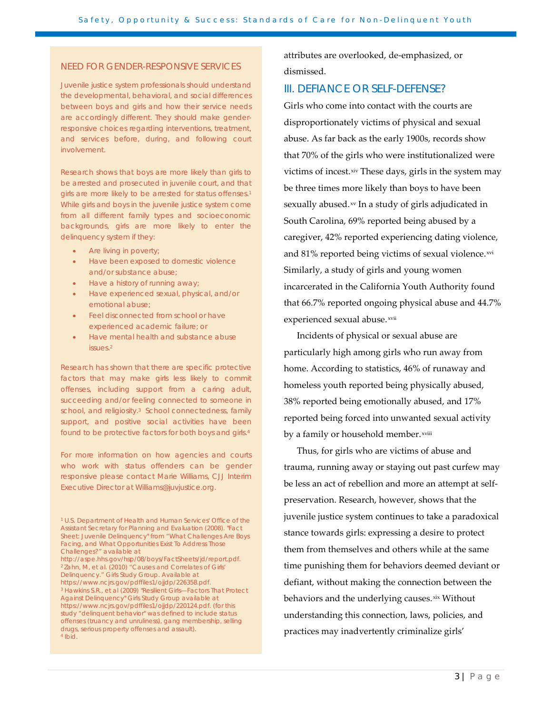#### NEED FOR GENDER-RESPONSIVE SERVICES

Juvenile justice system professionals should understand the developmental, behavioral, and social differences between boys and girls and how their service needs are accordingly different. They should make genderresponsive choices regarding interventions, treatment, and services before, during, and following court involvement.

Research shows that boys are more likely than girls to be arrested and prosecuted in juvenile court, and that girls are more likely to be arrested for status offenses.<sup>1</sup> While girls and boys in the juvenile justice system come from all different family types and socioeconomic backgrounds, girls are more likely to enter the delinquency system if they:

- Are living in poverty;
- Have been exposed to domestic violence and/or substance abuse;
- Have a history of running away;
- Have experienced sexual, physical, and/or emotional abuse;
- Feel disconnected from school or have experienced academic failure; or
- Have mental health and substance abuse issues.2

Research has shown that there are specific protective factors that may make girls less likely to commit offenses, including support from a caring adult, succeeding and/or feeling connected to someone in school, and religiosity.<sup>3</sup> School connectedness, family support, and positive social activities have been found to be protective factors for both boys and girls.4

For more information on how agencies and courts who work with status offenders can be gender responsive please contact Marie Williams, CJJ Interim Executive Director at Williams@juvjustice.org.

<sup>1</sup> U.S. Department of Health and Human Services' Office of the Assistant Secretary for Planning and Evaluation (2008). "Fact Sheet: Juvenile Delinquency" from "What Challenges Are Boys Facing, and What Opportunities Exist To Address Those Challenges?" available at

http://aspe.hhs.gov/hsp/08/boys/FactSheets/jd/report.pdf. <sup>2</sup> Zahn, M, et al. (2010) "Causes and Correlates of Girls' Delinquency." Girls Study Group. Available at https://www.ncjrs.gov/pdffiles1/ojjdp/226358.pdf. <sup>3</sup> Hawkins S.R., et al (2009) "Resilient Girls—Factors That Protect Against Delinquency" Girls Study Group available at https://www.ncjrs.gov/pdffiles1/ojjdp/220124.pdf. (for this study "delinquent behavior" was defined to include status offenses (truancy and unruliness), gang membership, selling drugs, serious property offenses and assault). <sup>4</sup> Ibid.

attributes are overlooked, de-emphasized, or dismissed.

#### III. DEFIANCE OR SELF-DEFENSE?

Girls who come into contact with the courts are disproportionately victims of physical and sexual abuse. As far back as the early 1900s, records show that 70% of the girls who were institutionalized were victims of incest.[xiv](#page-8-4) These days, girls in the system may be three times more likely than boys to have been sexually abused.<sup>[xv](#page-8-5)</sup> In a study of girls adjudicated in South Carolina, 69% reported being abused by a caregiver, 42% reported experiencing dating violence, and 81% reported being victims of sexual violence.[xvi](#page-8-6) Similarly, a study of girls and young women incarcerated in the California Youth Authority found that 66.7% reported ongoing physical abuse and 44.7% experienced sexual abuse.[xvii](#page-8-7)

Incidents of physical or sexual abuse are particularly high among girls who run away from home. According to statistics, 46% of runaway and homeless youth reported being physically abused, 38% reported being emotionally abused, and 17% reported being forced into unwanted sexual activity by a fam[i](#page-8-8)ly or household member.<sup>xviii</sup>

Thus, for girls who are victims of abuse and trauma, running away or staying out past curfew may be less an act of rebellion and more an attempt at selfpreservation. Research, however, shows that the juvenile justice system continues to take a paradoxical stance towards girls: expressing a desire to protect them from themselves and others while at the same time punishing them for behaviors deemed deviant or defiant, without making the connection between the behaviors and the underlying causes.[xix](#page-8-9) Without understanding this connection, laws, policies, and practices may inadvertently criminalize girls'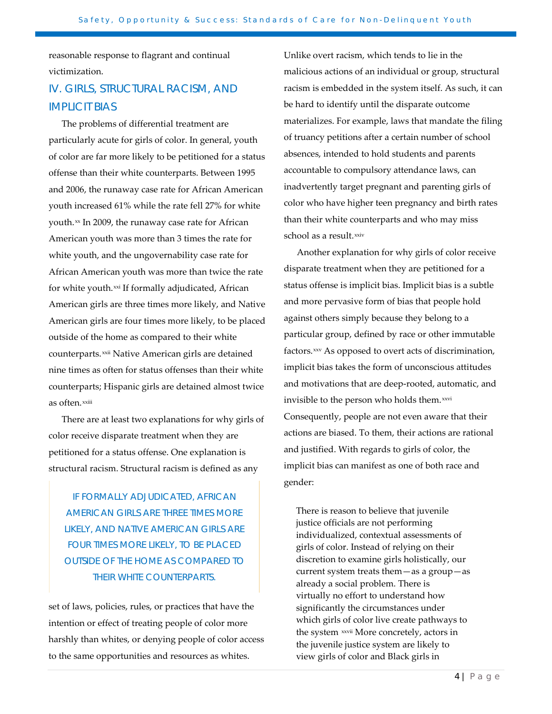reasonable response to flagrant and continual victimization.

## IV. GIRLS, STRUCTURAL RACISM, AND IMPLICIT BIAS

The problems of differential treatment are particularly acute for girls of color. In general, youth of color are far more likely to be petitioned for a status offense than their white counterparts. Between 1995 and 2006, the runaway case rate for African American youth increased 61% while the rate fell 27% for white youth.<sup>[xx](#page-8-10)</sup> In 2009, the runaway case rate for African as often.<sup>xx[i](#page-8-13)ii</sup> American youth was more than 3 times the rate for white youth, and the ungovernability case rate for African American youth was more than twice the rate for white youth.<sup>[xxi](#page-8-11)</sup> If formally adjudicated, African American girls are three times more likely, and Native American girls are four times more likely, to be placed outside of the home as compared to their white counterparts.[xxii](#page-8-12) Native American girls are detained nine times as often for status offenses than their white counterparts; Hispanic girls are detained almost twice

There are at least two explanations for why girls of color receive disparate treatment when they are petitioned for a status offense. One explanation is structural racism. Structural racism is defined as any

IF FORMALLY ADJUDICATED, AFRICAN AMERICAN GIRLS ARE THREE TIMES MORE LIKELY, AND NATIVE AMERICAN GIRLS ARE FOUR TIMES MORE LIKELY, TO BE PLACED OUTSIDE OF THE HOME AS COMPARED TO THEIR WHITE COUNTERPARTS.

set of laws, policies, rules, or practices that have the intention or effect of treating people of color more harshly than whites, or denying people of color access to the same opportunities and resources as whites.

Unlike overt racism, which tends to lie in the malicious actions of an individual or group, structural racism is embedded in the system itself. As such, it can be hard to identify until the disparate outcome materializes. For example, laws that mandate the filing of truancy petitions after a certain number of school absences, intended to hold students and parents accountable to compulsory attendance laws, can inadvertently target pregnant and parenting girls of color who have higher teen pregnancy and birth rates than their white counterparts and who may miss school as a result.<sup>[xxiv](#page-8-14)</sup>

Another explanation for why girls of color receive disparate treatment when they are petitioned for a status offense is implicit bias. Implicit bias is a subtle and more pervasive form of bias that people hold against others simply because they belong to a particular group, defined by race or other immutable factors.[xxv](#page-8-15) As opposed to overt acts of discrimination, implicit bias takes the form of unconscious attitudes and motivations that are deep-rooted, automatic, and invisible to the person who holds them.<sup>[xxvi](#page-8-16)</sup> Consequently, people are not even aware that their actions are biased. To them, their actions are rational and justified. With regards to girls of color, the implicit bias can manifest as one of both race and gender:

There is reason to believe that juvenile justice officials are not performing individualized, contextual assessments of girls of color. Instead of relying on their discretion to examine girls holistically, our current system treats them—as a group—as already a social problem. There is virtually no effort to understand how significantly the circumstances under which girls of color live create pathways to the system xxv[i](#page-8-17)i More concretely, actors in the juvenile justice system are likely to view girls of color and Black girls in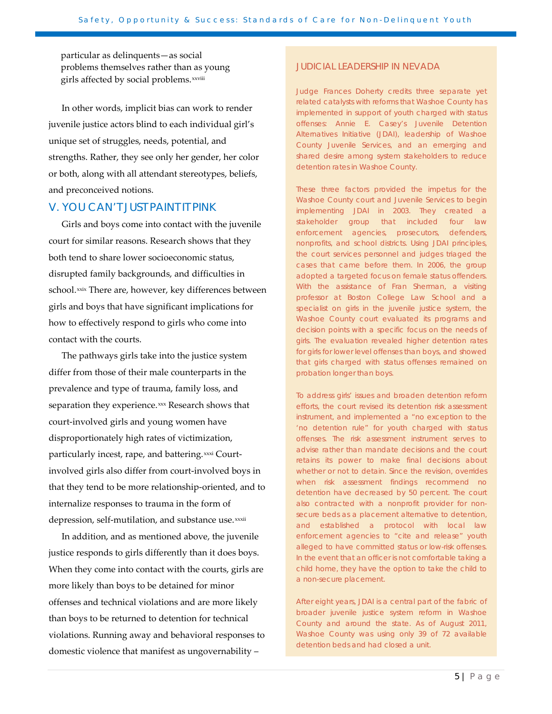particular as delinquents—as social problems themselves rather than as young g[i](#page-8-18)rls affected by social problems.<sup>xxviii</sup>

In other words, implicit bias can work to render juvenile justice actors blind to each individual girl's unique set of struggles, needs, potential, and strengths. Rather, they see only her gender, her color or both, along with all attendant stereotypes, beliefs, and preconceived notions.

#### V. YOU CAN'T JUST PAINT IT PINK

Girls and boys come into contact with the juvenile court for similar reasons. Research shows that they both tend to share lower socioeconomic status, disrupted family backgrounds, and difficulties in school.[xxix](#page-8-19) There are, however, key differences between girls and boys that have significant implications for how to effectively respond to girls who come into contact with the courts.

The pathways girls take into the justice system differ from those of their male counterparts in the prevalence and type of trauma, family loss, and separation they experience.<sup>[xxx](#page-8-20)</sup> Research shows that depress[i](#page-8-22)on, self-mutilation, and substance use.<sup>xxii</sup> court-involved girls and young women have disproportionately high rates of victimization, particularly incest, rape, and battering.<sup>[xxxi](#page-8-21)</sup> Courtinvolved girls also differ from court-involved boys in that they tend to be more relationship-oriented, and to internalize responses to trauma in the form of

In addition, and as mentioned above, the juvenile justice responds to girls differently than it does boys. When they come into contact with the courts, girls are more likely than boys to be detained for minor offenses and technical violations and are more likely than boys to be returned to detention for technical violations. Running away and behavioral responses to domestic violence that manifest as ungovernability –

#### JUDICIAL LEADERSHIP IN NEVADA

Judge Frances Doherty credits three separate yet related catalysts with reforms that Washoe County has implemented in support of youth charged with status offenses: Annie E. Casey's Juvenile Detention Alternatives Initiative (JDAI), leadership of Washoe County Juvenile Services, and an emerging and shared desire among system stakeholders to reduce detention rates in Washoe County.

These three factors provided the impetus for the Washoe County court and Juvenile Services to begin implementing JDAI in 2003. They created a stakeholder group that included four law enforcement agencies, prosecutors, defenders, nonprofits, and school districts. Using JDAI principles, the court services personnel and judges triaged the cases that came before them. In 2006, the group adopted a targeted focus on female status offenders. With the assistance of Fran Sherman, a visiting professor at Boston College Law School and a specialist on girls in the juvenile justice system, the Washoe County court evaluated its programs and decision points with a specific focus on the needs of girls. The evaluation revealed higher detention rates for girls for lower level offenses than boys, and showed that girls charged with status offenses remained on probation longer than boys.

To address girls' issues and broaden detention reform efforts, the court revised its detention risk assessment instrument, and implemented a "no exception to the 'no detention rule" for youth charged with status offenses. The risk assessment instrument serves to advise rather than mandate decisions and the court retains its power to make final decisions about whether or not to detain. Since the revision, overrides when risk assessment findings recommend no detention have decreased by 50 percent. The court also contracted with a nonprofit provider for nonsecure beds as a placement alternative to detention, and established a protocol with local law enforcement agencies to "cite and release" youth alleged to have committed status or low-risk offenses. In the event that an officer is not comfortable taking a child home, they have the option to take the child to a non-secure placement.

After eight years, JDAI is a central part of the fabric of broader juvenile justice system reform in Washoe County and around the state. As of August 2011, Washoe County was using only 39 of 72 available detention beds and had closed a unit.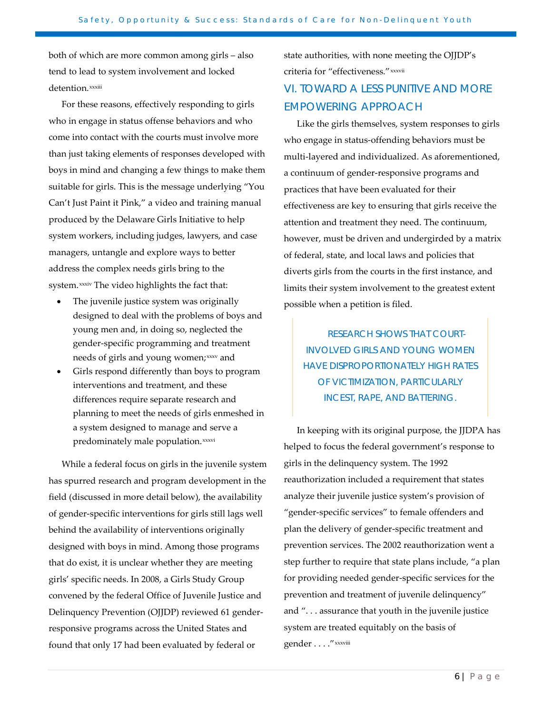both of which are more common among girls – also tend to lead to system involvement and locked detent[i](#page-8-23)on.xxxiii

For these reasons, effectively responding to girls who in engage in status offense behaviors and who come into contact with the courts must involve more than just taking elements of responses developed with boys in mind and changing a few things to make them suitable for girls. This is the message underlying "You Can't Just Paint it Pink," a video and training manual produced by the Delaware Girls Initiative to help system workers, including judges, lawyers, and case managers, untangle and explore ways to better address the complex needs girls bring to the system.<sup>xxxi[v](#page-8-24)</sup> The video highlights the fact that:

- The juvenile justice system was originally designed to deal with the problems of boys and young men and, in doing so, neglected the gender-specific programming and treatment needs of girls and young women;[xxxv](#page-8-25) and
- Girls respond differently than boys to program interventions and treatment, and these differences require separate research and planning to meet the needs of girls enmeshed in a system designed to manage and serve a predominately male population.xxxvi

While a federal focus on girls in the juvenile system has spurred research and program development in the field (discussed in more detail below), the availability of gender-specific interventions for girls still lags well behind the availability of interventions originally designed with boys in mind. Among those programs that do exist, it is unclear whether they are meeting girls' specific needs. In 2008, a Girls Study Group convened by the federal Office of Juvenile Justice and Delinquency Prevention (OJJDP) reviewed 61 genderresponsive programs across the United States and found that only 17 had been evaluated by federal or

state authorities, with none meeting the OJJDP's criteria for "effectiveness."xxxvii

### VI. TOWARD A LESS PUNITIVE AND MORE EMPOWERING APPROACH

Like the girls themselves, system responses to girls who engage in status-offending behaviors must be multi-layered and individualized. As aforementioned, a continuum of gender-responsive programs and practices that have been evaluated for their effectiveness are key to ensuring that girls receive the attention and treatment they need. The continuum, however, must be driven and undergirded by a matrix of federal, state, and local laws and policies that diverts girls from the courts in the first instance, and limits their system involvement to the greatest extent possible when a petition is filed.

RESEARCH SHOWS THAT COURT-INVOLVED GIRLS AND YOUNG WOMEN HAVE DISPROPORTIONATELY HIGH RATES OF VICTIMIZATION, PARTICULARLY INCEST, RAPE, AND BATTERING.

In keeping with its original purpose, the JJDPA has helped to focus the federal government's response to girls in the delinquency system. The 1992 reauthorization included a requirement that states analyze their juvenile justice system's provision of "gender-specific services" to female offenders and plan the delivery of gender-specific treatment and prevention services. The 2002 reauthorization went a step further to require that state plans include, "a plan for providing needed gender-specific services for the prevention and treatment of juvenile delinquency" and ". . . assurance that youth in the juvenile justice system are treated equitably on the basis of gender . . . ."xxxviii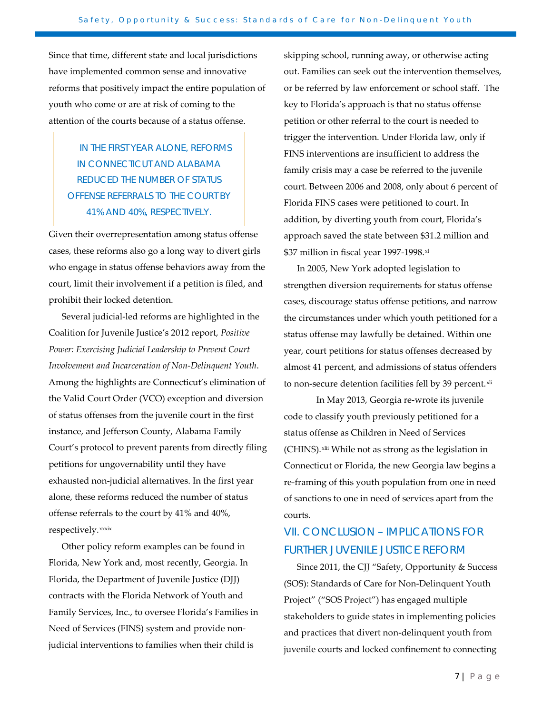Since that time, different state and local jurisdictions have implemented common sense and innovative reforms that positively impact the entire population of youth who come or are at risk of coming to the attention of the courts because of a status offense.

## IN THE FIRST YEAR ALONE, REFORMS IN CONNECTICUT AND ALABAMA REDUCED THE NUMBER OF STATUS OFFENSE REFERRALS TO THE COURT BY 41% AND 40%, RESPECTIVELY.

Given their overrepresentation among status offense cases, these reforms also go a long way to divert girls who engage in status offense behaviors away from the court, limit their involvement if a petition is filed, and prohibit their locked detention.

Several judicial-led reforms are highlighted in the Coalition for Juvenile Justice's 2012 report, *Positive Power: Exercising Judicial Leadership to Prevent Court Involvement and Incarceration of Non-Delinquent Youth*. Among the highlights are Connecticut's elimination of the Valid Court Order (VCO) exception and diversion of status offenses from the juvenile court in the first instance, and Jefferson County, Alabama Family Court's protocol to prevent parents from directly filing petitions for ungovernability until they have exhausted non-judicial alternatives. In the first year alone, these reforms reduced the number of status offense referrals to the court by 41% and 40%, respectively.[x](#page-8-26)xxix

Other policy reform examples can be found in Florida, New York and, most recently, Georgia. In Florida, the Department of Juvenile Justice (DJJ) contracts with the Florida Network of Youth and Family Services, Inc., to oversee Florida's Families in Need of Services (FINS) system and provide nonjudicial interventions to families when their child is

skipping school, running away, or otherwise acting out. Families can seek out the intervention themselves, or be referred by law enforcement or school staff. The key to Florida's approach is that no status offense petition or other referral to the court is needed to trigger the intervention. Under Florida law, only if FINS interventions are insufficient to address the family crisis may a case be referred to the juvenile court. Between 2006 and 2008, only about 6 percent of Florida FINS cases were petitioned to court. In addition, by diverting youth from court, Florida's approach saved the state between \$31.2 million and \$37 million in fiscal year 1997-1998[.xl](#page-8-27)

In 2005, New York adopted legislation to strengthen diversion requirements for status offense cases, discourage status offense petitions, and narrow the circumstances under which youth petitioned for a status offense may lawfully be detained. Within one year, court petitions for status offenses decreased by almost 41 percent, and admissions of status offenders to non-secure detention facilities fell by 39 percent.[xli](#page-8-28)

In May 2013, Georgia re-wrote its juvenile code to classify youth previously petitioned for a status offense as Children in Need of Services (CHINS). [xlii](#page-8-29) While not as strong as the legislation in Connecticut or Florida, the new Georgia law begins a re-framing of this youth population from one in need of sanctions to one in need of services apart from the courts.

### VII. CONCLUSION – IMPLICATIONS FOR FURTHER JUVENILE JUSTICE REFORM

Since 2011, the CJJ "Safety, Opportunity & Success (SOS): Standards of Care for Non-Delinquent Youth Project" ("SOS Project") has engaged multiple stakeholders to guide states in implementing policies and practices that divert non-delinquent youth from juvenile courts and locked confinement to connecting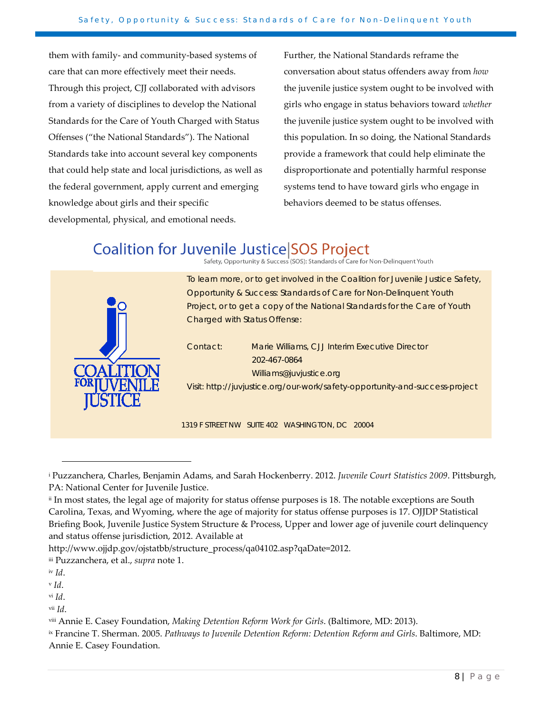them with family- and community-based systems of care that can more effectively meet their needs. Through this project, CJJ collaborated with advisors from a variety of disciplines to develop the National Standards for the Care of Youth Charged with Status Offenses ("the National Standards"). The National Standards take into account several key components that could help state and local jurisdictions, as well as the federal government, apply current and emerging knowledge about girls and their specific developmental, physical, and emotional needs.

Further, the National Standards reframe the conversation about status offenders away from *how* the juvenile justice system ought to be involved with girls who engage in status behaviors toward *whether* the juvenile justice system ought to be involved with this population. In so doing, the National Standards provide a framework that could help eliminate the disproportionate and potentially harmful response systems tend to have toward girls who engage in behaviors deemed to be status offenses.

# **Coalition for Juvenile Justice SOS Project**





To learn more, or to get involved in the Coalition for Juvenile Justice Safety, Opportunity & Success: Standards of Care for Non-Delinquent Youth Project, or to get a copy of the National Standards for the Care of Youth Charged with Status Offense:

Contact: Marie Williams, CJJ Interim Executive Director 202-467-0864 Williams@juvjustice.org Visit: http://juvjustice.org/our-work/safety-opportunity-and-success-project

1319 F STREET NW SUITE 402 WASHINGTON, DC 20004

http://www.ojjdp.gov/ojstatbb/structure\_process/qa04102.asp?qaDate=2012.

1

<span id="page-7-4"></span><sup>v</sup> *Id*.

<span id="page-7-5"></span>vi *Id*.

<span id="page-7-6"></span>vii *Id*.

<span id="page-7-8"></span>ix Francine T. Sherman. 2005. *Pathways to Juvenile Detention Reform: Detention Reform and Girls*. Baltimore, MD: Annie E. Casey Foundation.

<span id="page-7-0"></span><sup>i</sup> Puzzanchera, Charles, Benjamin Adams, and Sarah Hockenberry. 2012. *Juvenile Court Statistics 2009*. Pittsburgh, PA: National Center for Juvenile Justice.

<span id="page-7-1"></span>ii In most states, the legal age of majority for status offense purposes is 18. The notable exceptions are South Carolina, Texas, and Wyoming, where the age of majority for status offense purposes is 17. OJJDP Statistical Briefing Book, Juvenile Justice System Structure & Process, Upper and lower age of juvenile court delinquency and status offense jurisdiction, 2012. Available at

<span id="page-7-2"></span>iii Puzzanchera, et al., *supra* note 1.

<span id="page-7-3"></span>iv *Id*.

<span id="page-7-7"></span>viii Annie E. Casey Foundation, *Making Detention Reform Work for Girls*. (Baltimore, MD: 2013).